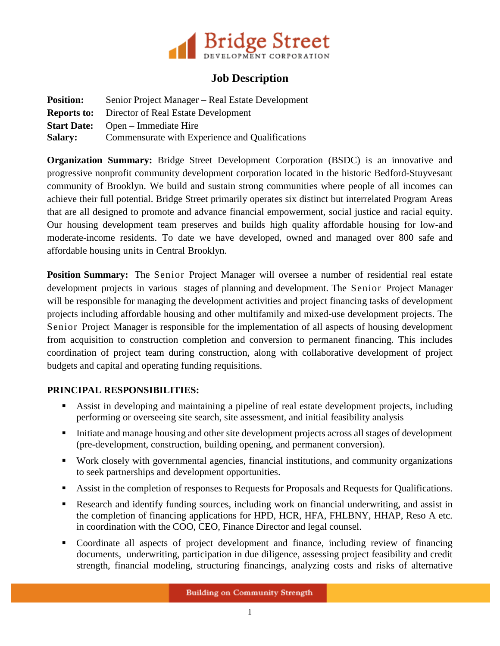

## **Job Description**

| <b>Position:</b> | Senior Project Manager – Real Estate Development       |
|------------------|--------------------------------------------------------|
|                  | <b>Reports to:</b> Director of Real Estate Development |
|                  | <b>Start Date:</b> Open – Immediate Hire               |
| <b>Salary:</b>   | Commensurate with Experience and Qualifications        |

**Organization Summary:** Bridge Street Development Corporation (BSDC) is an innovative and progressive nonprofit community development corporation located in the historic Bedford-Stuyvesant community of Brooklyn. We build and sustain strong communities where people of all incomes can achieve their full potential. Bridge Street primarily operates six distinct but interrelated Program Areas that are all designed to promote and advance financial empowerment, social justice and racial equity. Our housing development team preserves and builds high quality affordable housing for low-and moderate-income residents. To date we have developed, owned and managed over 800 safe and affordable housing units in Central Brooklyn.

**Position Summary:** The Senior Project Manager will oversee a number of residential real estate development projects in various stages of planning and development. The Senior Project Manager will be responsible for managing the development activities and project financing tasks of development projects including affordable housing and other multifamily and mixed-use development projects. The Senior Project Manager is responsible for the implementation of all aspects of housing development from acquisition to construction completion and conversion to permanent financing. This includes coordination of project team during construction, along with collaborative development of project budgets and capital and operating funding requisitions.

## **PRINCIPAL RESPONSIBILITIES:**

- Assist in developing and maintaining a pipeline of real estate development projects, including performing or overseeing site search, site assessment, and initial feasibility analysis
- Initiate and manage housing and other site development projects across all stages of development (pre-development, construction, building opening, and permanent conversion).
- Work closely with governmental agencies, financial institutions, and community organizations to seek partnerships and development opportunities.
- Assist in the completion of responses to Requests for Proposals and Requests for Qualifications.
- Research and identify funding sources, including work on financial underwriting, and assist in the completion of financing applications for HPD, HCR, HFA, FHLBNY, HHAP, Reso A etc. in coordination with the COO, CEO, Finance Director and legal counsel.
- Coordinate all aspects of project development and finance, including review of financing documents, underwriting, participation in due diligence, assessing project feasibility and credit strength, financial modeling, structuring financings, analyzing costs and risks of alternative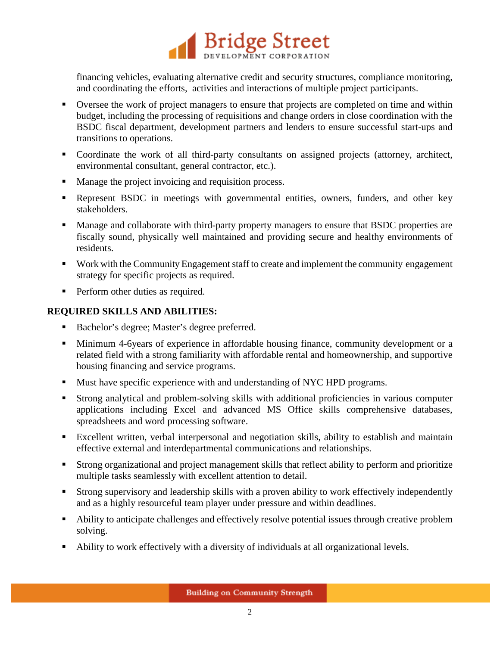

financing vehicles, evaluating alternative credit and security structures, compliance monitoring, and coordinating the efforts, activities and interactions of multiple project participants.

- Oversee the work of project managers to ensure that projects are completed on time and within budget, including the processing of requisitions and change orders in close coordination with the BSDC fiscal department, development partners and lenders to ensure successful start-ups and transitions to operations.
- Coordinate the work of all third-party consultants on assigned projects (attorney, architect, environmental consultant, general contractor, etc.).
- **Manage the project invoicing and requisition process.**
- Represent BSDC in meetings with governmental entities, owners, funders, and other key stakeholders.
- **Manage and collaborate with third-party property managers to ensure that BSDC properties are** fiscally sound, physically well maintained and providing secure and healthy environments of residents.
- Work with the Community Engagement staff to create and implement the community engagement strategy for specific projects as required.
- **Perform other duties as required.**

## **REQUIRED SKILLS AND ABILITIES:**

- Bachelor's degree; Master's degree preferred.
- Minimum 4-6years of experience in affordable housing finance, community development or a related field with a strong familiarity with affordable rental and homeownership, and supportive housing financing and service programs.
- Must have specific experience with and understanding of NYC HPD programs.
- Strong analytical and problem-solving skills with additional proficiencies in various computer applications including Excel and advanced MS Office skills comprehensive databases, spreadsheets and word processing software.
- Excellent written, verbal interpersonal and negotiation skills, ability to establish and maintain effective external and interdepartmental communications and relationships.
- Strong organizational and project management skills that reflect ability to perform and prioritize multiple tasks seamlessly with excellent attention to detail.
- Strong supervisory and leadership skills with a proven ability to work effectively independently and as a highly resourceful team player under pressure and within deadlines.
- Ability to anticipate challenges and effectively resolve potential issues through creative problem solving.
- Ability to work effectively with a diversity of individuals at all organizational levels.